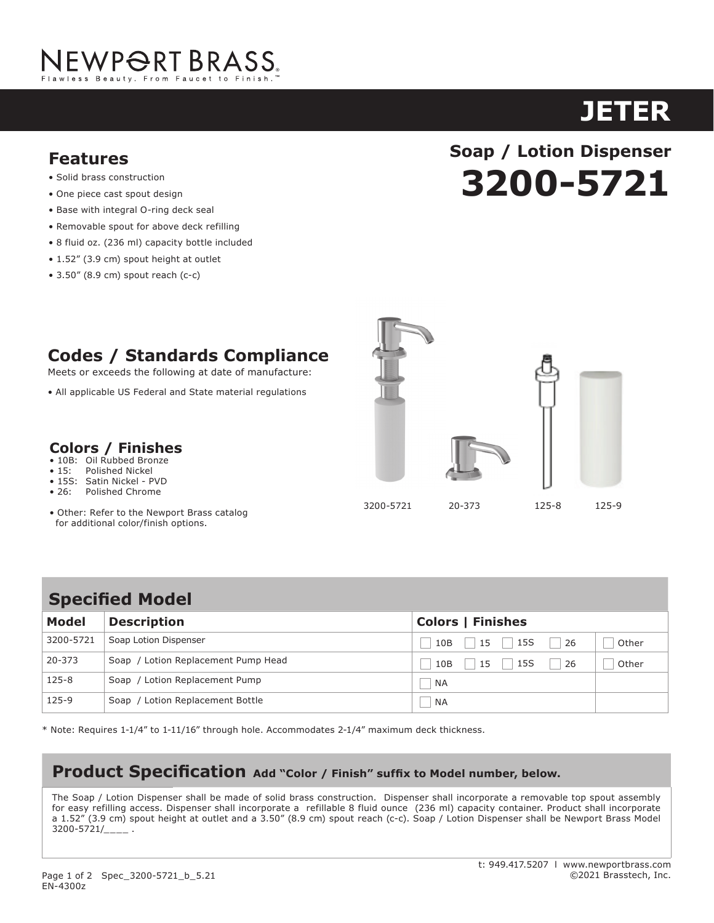

# **JETER**

## **Features**

- Solid brass construction
- One piece cast spout design
- Base with integral O-ring deck seal<br>• Base with integral O-ring deck seal
- Removable spout for above deck refilling
- 8 fluid oz. (236 ml) capacity bottle included
	- 1.52" (3.9 cm) spout height at outlet
- $\bullet$  3.50" (8.9 cm) spout reach (c-c)  $\mathbf{1}_{\mathbf{1}_{\mathbf{1}}}$   $\mathbf{1}_{\mathbf{1}_{\mathbf{1}}}$  (4.6 cm) spout height at outlet at outlet at outlet at outlet at outlet at outlet at outlet at outlet at outlet at outlet at outlet at outlet at outlet at outlet at outlet at outl  $\epsilon$  2 FO" (9.0 cm) caput roach (6.6)

## **3200-5721 Soap / Lotion Dispenser 3210-5721 vection Dispens**<br>And **F ASTOR**

## **Codes / Standards Compliance**

Meets or exceeds the following at date of manufacture:

• All applicable US Federal and State material regulations • All applicable US Federal and State material regulations • 1-7/16" (3.7 cm) spout height at outlet

#### **Colors / Finishes** • 10B: Oil Rubbed Bronze ะ / Finichec • For 8" (20.3 cm) centers - Maximum 20" (50.8 cm)

- $\overline{\mathsf{B}}$ uhhed Bronze
- 15: Polished Nickel
- 15S: Satin Nickel PVD<br>• 26: Polished Chrome
	- **26: Polished Chrome**

 $\sim$ 

• Other: Refer to the Newport Brass catalog for additional color/finish options. • AS MEDICALLY COLOR SHOWS UP THE U



**Specified Model** Pump Head

| <b>Model</b> | <b>Description</b>                  | <b>Colors   Finishes</b>        |
|--------------|-------------------------------------|---------------------------------|
| 3200-5721    | Soap Lotion Dispenser               | 15S<br>26<br>15<br>10B<br>Other |
| 20-373       | Soap / Lotion Replacement Pump Head | 15S<br>26<br>10B<br>Other<br>15 |
| $125 - 8$    | Soap / Lotion Replacement Pump      | <b>NA</b>                       |
| $125-9$      | Soap / Lotion Replacement Bottle    | ΝA                              |

 $*$  Note: Requires 1-1/4" to 1-11/16" through hole. Accommodates 2-1/4" maximum deck thickness. easy refilling access. Dispenser shall incorporate a refillable 8 fluid ounce (236 ml) capacity container. Product shall incorporate a

**product Specification: Add "Color / Finish" suffix to Model number, below.**

## **Product Specification** Add "Color / Finish" suffix to Model number, below.

The Soap / Lotion Dispenser shall be made of solid brass construction. Dispenser shall incorporate a removable top spout assembly **Model Description Colors / Finishes** for easy refilling access. Dispenser shall incorporate a refillable 8 fluid ounce (236 ml) capacity container. Product shall incorporate of the south of the south of the south of the south of the south of the south of the or casy reming access. Dispenser shall incorporate a Termable 6 hald bance (250 hil) capacity container. Product shall incorporate<br>a 1.52" (3.9 cm) spout height at outlet and a 3.50" (8.9 cm) spout reach (c-c). Soap / Loti  $3200 - 5721/$ <sub>\_\_\_\_</sub>.

125-9 Soap / Lotion Replacement Bottle Replacement Bottle